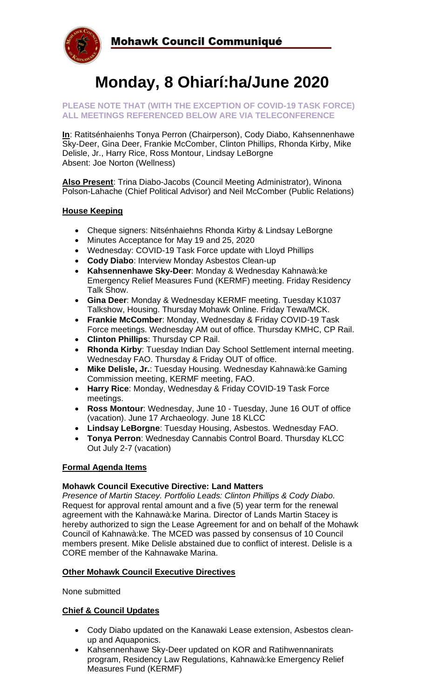

# **Monday, 8 Ohiarí:ha/June 2020**

#### **PLEASE NOTE THAT (WITH THE EXCEPTION OF COVID-19 TASK FORCE) ALL MEETINGS REFERENCED BELOW ARE VIA TELECONFERENCE**

**In**: Ratitsénhaienhs Tonya Perron (Chairperson), Cody Diabo, Kahsennenhawe Sky-Deer, Gina Deer, Frankie McComber, Clinton Phillips, Rhonda Kirby, Mike Delisle, Jr., Harry Rice, Ross Montour, Lindsay LeBorgne Absent: Joe Norton (Wellness)

**Also Present**: Trina Diabo-Jacobs (Council Meeting Administrator), Winona Polson-Lahache (Chief Political Advisor) and Neil McComber (Public Relations)

#### **House Keeping**

- Cheque signers: Nitsénhaiehns Rhonda Kirby & Lindsay LeBorgne
- Minutes Acceptance for May 19 and 25, 2020
- Wednesday: COVID-19 Task Force update with Lloyd Phillips
- **Cody Diabo**: Interview Monday Asbestos Clean-up
- **Kahsennenhawe Sky-Deer**: Monday & Wednesday Kahnawà:ke Emergency Relief Measures Fund (KERMF) meeting. Friday Residency Talk Show.
- **Gina Deer**: Monday & Wednesday KERMF meeting. Tuesday K1037 Talkshow, Housing. Thursday Mohawk Online. Friday Tewa/MCK.
- **Frankie McComber**: Monday, Wednesday & Friday COVID-19 Task Force meetings. Wednesday AM out of office. Thursday KMHC, CP Rail.
- **Clinton Phillips**: Thursday CP Rail.
- **Rhonda Kirby**: Tuesday Indian Day School Settlement internal meeting. Wednesday FAO. Thursday & Friday OUT of office.
- **Mike Delisle, Jr.**: Tuesday Housing. Wednesday Kahnawà:ke Gaming Commission meeting, KERMF meeting, FAO.
- **Harry Rice**: Monday, Wednesday & Friday COVID-19 Task Force meetings.
- **Ross Montour**: Wednesday, June 10 Tuesday, June 16 OUT of office (vacation). June 17 Archaeology. June 18 KLCC
- **Lindsay LeBorgne**: Tuesday Housing, Asbestos. Wednesday FAO.
- **Tonya Perron**: Wednesday Cannabis Control Board. Thursday KLCC Out July 2-7 (vacation)

#### **Formal Agenda Items**

#### **Mohawk Council Executive Directive: Land Matters**

*Presence of Martin Stacey. Portfolio Leads: Clinton Phillips & Cody Diabo.*  Request for approval rental amount and a five (5) year term for the renewal agreement with the Kahnawà:ke Marina. Director of Lands Martin Stacey is hereby authorized to sign the Lease Agreement for and on behalf of the Mohawk Council of Kahnawà:ke. The MCED was passed by consensus of 10 Council members present. Mike Delisle abstained due to conflict of interest. Delisle is a CORE member of the Kahnawake Marina.

### **Other Mohawk Council Executive Directives**

None submitted

#### **Chief & Council Updates**

- Cody Diabo updated on the Kanawaki Lease extension, Asbestos cleanup and Aquaponics.
- Kahsennenhawe Sky-Deer updated on KOR and Ratihwennanirats program, Residency Law Regulations, Kahnawà:ke Emergency Relief Measures Fund (KERMF)